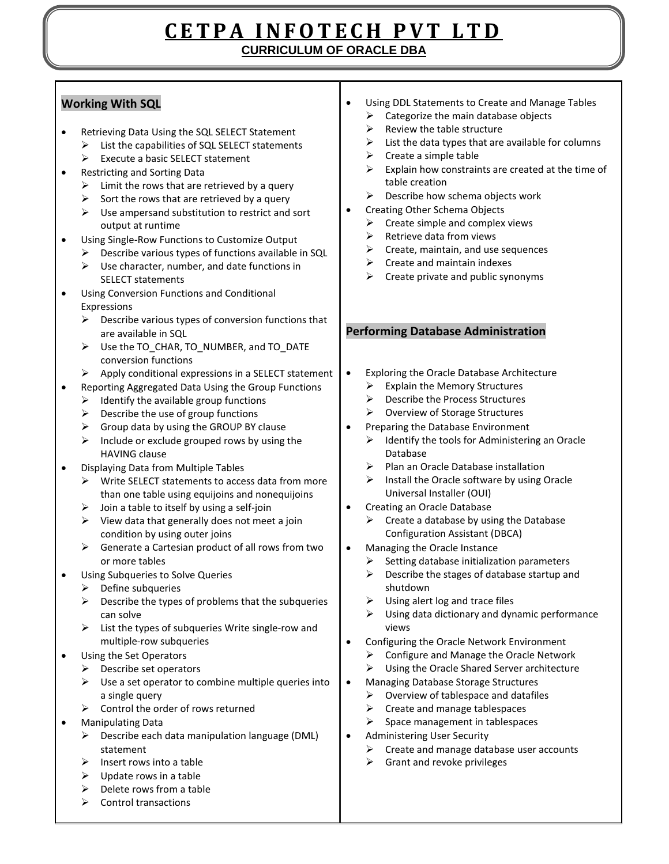## **C E T P A I N F O T E C H P V T L T D CURRICULUM OF ORACLE DBA**

## **Working With SQL**

- Retrieving Data Using the SQL SELECT Statement
	- $\triangleright$  List the capabilities of SQL SELECT statements
	- $\triangleright$  Execute a basic SELECT statement
- Restricting and Sorting Data
	- $\triangleright$  Limit the rows that are retrieved by a query
	- $\triangleright$  Sort the rows that are retrieved by a query
	- $\triangleright$  Use ampersand substitution to restrict and sort output at runtime
- Using Single-Row Functions to Customize Output
	- $\triangleright$  Describe various types of functions available in SQL
	- $\triangleright$  Use character, number, and date functions in SELECT statements
- Using Conversion Functions and Conditional Expressions
	- $\triangleright$  Describe various types of conversion functions that are available in SQL
	- Use the TO\_CHAR, TO\_NUMBER, and TO\_DATE conversion functions
	- $\triangleright$  Apply conditional expressions in a SELECT statement
- Reporting Aggregated Data Using the Group Functions
	- $\triangleright$  Identify the available group functions
	- $\triangleright$  Describe the use of group functions
	- $\triangleright$  Group data by using the GROUP BY clause
	- $\triangleright$  Include or exclude grouped rows by using the HAVING clause
- Displaying Data from Multiple Tables
	- $\triangleright$  Write SELECT statements to access data from more than one table using equijoins and nonequijoins
	- $\triangleright$  Join a table to itself by using a self-join
	- $\triangleright$  View data that generally does not meet a join condition by using outer joins
	- $\triangleright$  Generate a Cartesian product of all rows from two or more tables
- Using Subqueries to Solve Queries
	- $\triangleright$  Define subqueries
	- $\triangleright$  Describe the types of problems that the subqueries can solve
	- $\triangleright$  List the types of subqueries Write single-row and multiple-row subqueries
- Using the Set Operators
	- $\triangleright$  Describe set operators
	- $\triangleright$  Use a set operator to combine multiple queries into a single query
	- $\triangleright$  Control the order of rows returned
- Manipulating Data
	- $\triangleright$  Describe each data manipulation language (DML) statement
	- $\triangleright$  Insert rows into a table
	- $\triangleright$  Update rows in a table
	- $\triangleright$  Delete rows from a table
	- $\triangleright$  Control transactions
- Using DDL Statements to Create and Manage Tables
	- $\triangleright$  Categorize the main database objects
	- $\triangleright$  Review the table structure
	- $\triangleright$  List the data types that are available for columns
	- $\triangleright$  Create a simple table
	- $\triangleright$  Explain how constraints are created at the time of table creation
	- $\triangleright$  Describe how schema objects work
- Creating Other Schema Objects
	- $\triangleright$  Create simple and complex views
	- Retrieve data from views
	- $\triangleright$  Create, maintain, and use sequences
	- $\triangleright$  Create and maintain indexes
	- $\triangleright$  Create private and public synonyms

## **Performing Database Administration**

- Exploring the Oracle Database Architecture
	- $\triangleright$  Explain the Memory Structures
	- $\triangleright$  Describe the Process Structures
	- Overview of Storage Structures
- Preparing the Database Environment
	- $\triangleright$  Identify the tools for Administering an Oracle Database
	- $\triangleright$  Plan an Oracle Database installation
	- $\triangleright$  Install the Oracle software by using Oracle Universal Installer (OUI)
- Creating an Oracle Database
	- $\triangleright$  Create a database by using the Database Configuration Assistant (DBCA)
- Managing the Oracle Instance
	- $\triangleright$  Setting database initialization parameters
	- $\triangleright$  Describe the stages of database startup and shutdown
	- $\triangleright$  Using alert log and trace files
	- $\triangleright$  Using data dictionary and dynamic performance views
- Configuring the Oracle Network Environment
	- $\triangleright$  Configure and Manage the Oracle Network
	- $\triangleright$  Using the Oracle Shared Server architecture
- Managing Database Storage Structures
	- $\triangleright$  Overview of tablespace and datafiles
	- $\triangleright$  Create and manage tablespaces
	- $\triangleright$  Space management in tablespaces
- Administering User Security
	- $\triangleright$  Create and manage database user accounts
	- $\triangleright$  Grant and revoke privileges